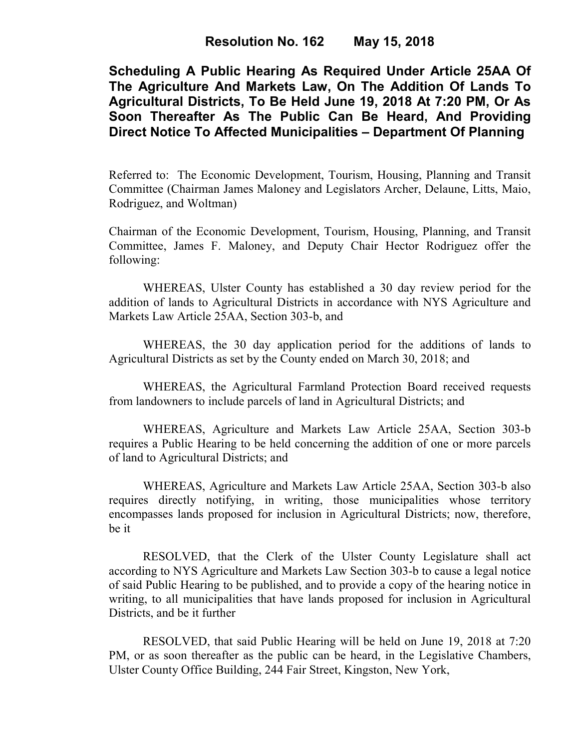**Scheduling A Public Hearing As Required Under Article 25AA Of The Agriculture And Markets Law, On The Addition Of Lands To Agricultural Districts, To Be Held June 19, 2018 At 7:20 PM, Or As Soon Thereafter As The Public Can Be Heard, And Providing Direct Notice To Affected Municipalities – Department Of Planning** 

Referred to: The Economic Development, Tourism, Housing, Planning and Transit Committee (Chairman James Maloney and Legislators Archer, Delaune, Litts, Maio, Rodriguez, and Woltman)

Chairman of the Economic Development, Tourism, Housing, Planning, and Transit Committee, James F. Maloney, and Deputy Chair Hector Rodriguez offer the following:

WHEREAS, Ulster County has established a 30 day review period for the addition of lands to Agricultural Districts in accordance with NYS Agriculture and Markets Law Article 25AA, Section 303-b, and

WHEREAS, the 30 day application period for the additions of lands to Agricultural Districts as set by the County ended on March 30, 2018; and

WHEREAS, the Agricultural Farmland Protection Board received requests from landowners to include parcels of land in Agricultural Districts; and

WHEREAS, Agriculture and Markets Law Article 25AA, Section 303-b requires a Public Hearing to be held concerning the addition of one or more parcels of land to Agricultural Districts; and

WHEREAS, Agriculture and Markets Law Article 25AA, Section 303-b also requires directly notifying, in writing, those municipalities whose territory encompasses lands proposed for inclusion in Agricultural Districts; now, therefore, be it

RESOLVED, that the Clerk of the Ulster County Legislature shall act according to NYS Agriculture and Markets Law Section 303-b to cause a legal notice of said Public Hearing to be published, and to provide a copy of the hearing notice in writing, to all municipalities that have lands proposed for inclusion in Agricultural Districts, and be it further

RESOLVED, that said Public Hearing will be held on June 19, 2018 at 7:20 PM, or as soon thereafter as the public can be heard, in the Legislative Chambers, Ulster County Office Building, 244 Fair Street, Kingston, New York,